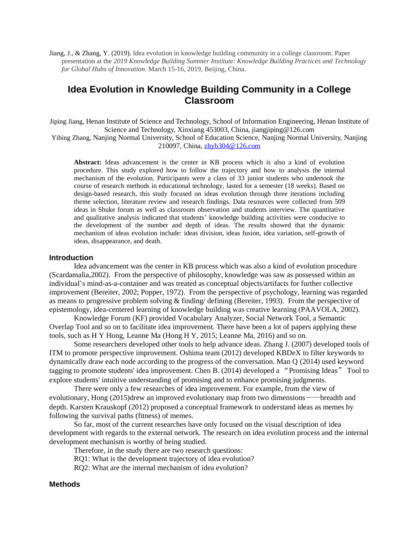Jiang, J., & Zhang, Y. (2019). Idea evolution in knowledge building community in a college classroom. Paper presentation at the *2019 Knowledge Building Summer Institute: Knowledge Building Practices and Technology for Global Hubs of Innovation.* March 15-16, 2019, Beijing, China.

# **Idea Evolution in Knowledge Building Community in a College Classroom**

Jiping Jiang, Henan Institute of Science and Technology, School of Information Engineering, Henan Institute of Science and Technology, Xinxiang 453003, China, jiangjiping@126.com Yibing Zhang, Nanjing Normal University, School of Education Science, Nanjing Normal University, Nanjing 210097, China[, zhyb304@126.com](mailto:zhyb304@126.com)

**Abstract:** Ideas advancement is the center in KB process which is also a kind of evolution procedure. This study explored how to follow the trajectory and how to analysis the internal mechanism of the evolution. Participants were a class of 33 junior students who undertook the course of research methods in educational technology, lasted for a semester (18 weeks). Based on design-based research, this study focused on ideas evolution through three iterations including theme selection, literature review and research findings. Data resources were collected from 509 ideas in Shuke forum as well as classroom observation and students interview. The quantitative and qualitative analysis indicated that students' knowledge building activities were conducive to the development of the number and depth of ideas. The results showed that the dynamic mechanism of ideas evolution include: ideas division, ideas fusion, idea variation, self-growth of ideas, disappearance, and death.

### **Introduction**

Idea advancement was the center in KB process which was also a kind of evolution procedure (Scardamalia,2002). From the perspective of philosophy, knowledge was saw as possessed within an individual's mind-as-a-container and was treated as conceptual objects/artifacts for further collective improvement (Bereiter, 2002; Popper, 1972). From the perspective of psychology, learning was regarded as means to progressive problem solving & finding/ defining (Bereiter, 1993). From the perspective of epistemology, idea-centered learning of knowledge building was creative learning (PAAVOLA, 2002).

Knowledge Forum (KF) provided Vocabulary Analyzer, Social Network Tool, a Semantic Overlap Tool and so on to facilitate idea improvement. There have been a lot of papers applying these tools, such as H Y Hong, Leanne Ma (Hong H Y, 2015; Leanne Ma, 2016) and so on.

Some researchers developed other tools to help advance ideas. Zhang J. (2007) developed tools of ITM to promote perspective improvement. Oshima team (2012) developed KBDeX to filter keywords to dynamically draw each node according to the progress of the conversation. Man Q (2014) used keyword tagging to promote students' idea improvement. Chen B. (2014) developed a "Promising Ideas" Tool to explore students' intuitive understanding of promising and to enhance promising judgments.

There were only a few researches of idea improvement. For example, from the view of evolutionary, Hong (2015)drew an improved evolutionary map from two dimensions——breadth and depth. Karsten Krauskopf (2012) proposed a conceptual framework to understand ideas as memes by following the survival paths (fitness) of memes.

So far, most of the current researches have only focused on the visual description of idea development with regards to the external network. The research on idea evolution process and the internal development mechanism is worthy of being studied.

Therefore, in the study there are two research questions:

RQ1: What is the development trajectory of idea evolution?

RQ2: What are the internal mechanism of idea evolution?

#### **Methods**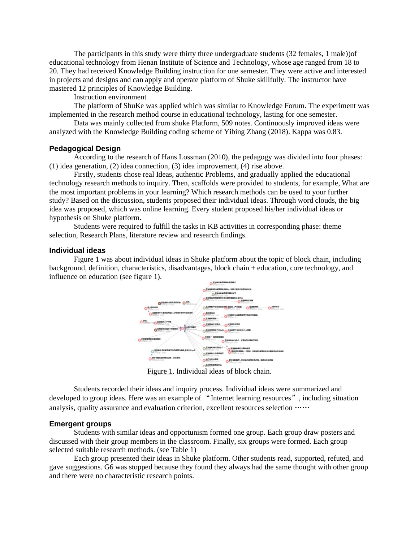The participants in this study were thirty three undergraduate students (32 females, 1 male))of educational technology from Henan Institute of Science and Technology, whose age ranged from 18 to 20. They had received Knowledge Building instruction for one semester. They were active and interested in projects and designs and can apply and operate platform of Shuke skillfully. The instructor have mastered 12 principles of Knowledge Building.

Instruction environment

The platform of ShuKe was applied which was similar to Knowledge Forum. The experiment was implemented in the research method course in educational technology, lasting for one semester.

Data was mainly collected from shuke Platform, 509 notes. Continuously improved ideas were analyzed with the Knowledge Building coding scheme of Yibing Zhang (2018). Kappa was 0.83.

### **Pedagogical Design**

According to the research of Hans Lossman (2010), the pedagogy was divided into four phases: (1) idea generation, (2) idea connection, (3) idea improvement, (4) rise above.

Firstly, students chose real Ideas, authentic Problems, and gradually applied the educational technology research methods to inquiry. Then, scaffolds were provided to students, for example, What are the most important problems in your learning? Which research methods can be used to your further study? Based on the discussion, students proposed their individual ideas. Through word clouds, the big idea was proposed, which was online learning. Every student proposed his/her individual ideas or hypothesis on Shuke platform.

Students were required to fulfill the tasks in KB activities in corresponding phase: theme selection, Research Plans, literature review and research findings.

### **Individual ideas**

Figure 1 was about individual ideas in Shuke platform about the topic of block chain, including background, definition, characteristics, disadvantages, block chain + education, core technology, and influence on education (see figure 1).



Figure 1. Individual ideas of block chain.

Students recorded their ideas and inquiry process. Individual ideas were summarized and developed to group ideas. Here was an example of "Internet learning resources", including situation analysis, quality assurance and evaluation criterion, excellent resources selection ……

#### **Emergent groups**

Students with similar ideas and opportunism formed one group. Each group draw posters and discussed with their group members in the classroom. Finally, six groups were formed. Each group selected suitable research methods. (see Table 1)

Each group presented their ideas in Shuke platform. Other students read, supported, refuted, and gave suggestions. G6 was stopped because they found they always had the same thought with other group and there were no characteristic research points.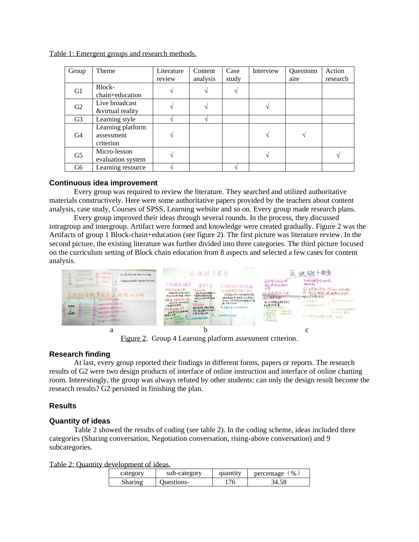|  |  |  | Table 1: Emergent groups and research methods. |
|--|--|--|------------------------------------------------|
|  |  |  |                                                |

| Group          | Theme                                        | Literature<br>review | Content<br>analysis | Case<br>study | Interview     | Questionn<br>aire | Action<br>research |
|----------------|----------------------------------------------|----------------------|---------------------|---------------|---------------|-------------------|--------------------|
| G1             | Block-<br>chain+education                    |                      |                     |               |               |                   |                    |
| G2             | Live broadcast<br>&virtual reality           |                      |                     |               |               |                   |                    |
| G <sub>3</sub> | Learning style                               |                      |                     |               |               |                   |                    |
| G <sub>4</sub> | Learning platform<br>assessment<br>criterion |                      |                     |               | $\mathcal{L}$ |                   |                    |
| G <sub>5</sub> | Micro-lesson<br>evaluation system            |                      |                     |               |               |                   |                    |
| G <sub>6</sub> | Learning resource                            |                      |                     |               |               |                   |                    |

# **Continuous idea improvement**

Every group was required to review the literature. They searched and utilized authoritative materials constructively. Here were some authoritative papers provided by the teachers about content analysis, case study, Courses of SPSS, Learning website and so on. Every group made research plans.

Every group improved their ideas through several rounds. In the process, they discussed intragroup and intergroup. Artifact were formed and knowledge were created gradually. Figure 2 was the Artifacts of group 1 Block-chain+education (see figure 2). The first picture was literature review. In the second picture, the existing literature was further divided into three categories. The third picture focused on the curriculum setting of Block chain education from 8 aspects and selected a few cases for content analysis.



Figure 2. Group 4 Learning platform assessment criterion.

# **Research finding**

At last, every group reported their findings in different forms, papers or reports. The research results of G2 were two design products of interface of online instruction and interface of online chatting room. Interestingly, the group was always refuted by other students: can only the design result become the research results? G2 persisted in finishing the plan.

# **Results**

# **Quantity of ideas**

Table 2 showed the results of coding (see table 2). In the coding scheme, ideas included three categories (Sharing conversation, Negotiation conversation, rising-above conversation) and 9 subcategories.

Table 2: Quantity development of ideas.

| category | sub-category      | quantity | $\frac{1}{2}$ %<br>percentage |
|----------|-------------------|----------|-------------------------------|
| Sharing  | <b>Ouestions-</b> | 76       |                               |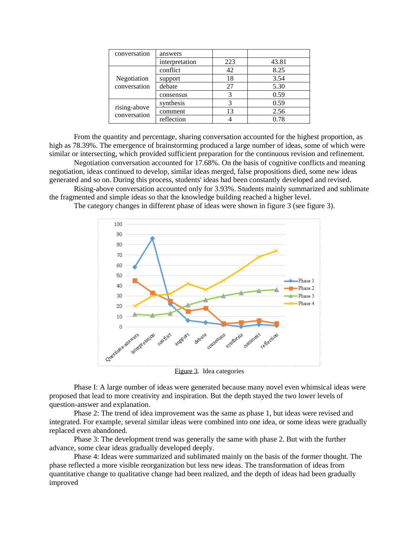| conversation                 | answers        |     |       |
|------------------------------|----------------|-----|-------|
|                              | interpretation | 223 | 43.81 |
| Negotiation<br>conversation  | conflict       | 42  | 8.25  |
|                              | support        | 18  | 3.54  |
|                              | debate         | 27  | 5.30  |
|                              | consensus      |     | 0.59  |
| rising-above<br>conversation | synthesis      |     | 0.59  |
|                              | comment        | 13  | 2.56  |
|                              | reflection     |     | 0.78  |

From the quantity and percentage, sharing conversation accounted for the highest proportion, as high as 78.39%. The emergence of brainstorming produced a large number of ideas, some of which were similar or intersecting, which provided sufficient preparation for the continuous revision and refinement.

Negotiation conversation accounted for 17.68%. On the basis of cognitive conflicts and meaning negotiation, ideas continued to develop, similar ideas merged, false propositions died, some new ideas generated and so on. During this process, students' ideas had been constantly developed and revised.

Rising-above conversation accounted only for 3.93%. Students mainly summarized and sublimate the fragmented and simple ideas so that the knowledge building reached a higher level.

The category changes in different phase of ideas were shown in figure 3 (see figure 3).



Figure 3. Idea categories

Phase I: A large number of ideas were generated because many novel even whimsical ideas were proposed that lead to more creativity and inspiration. But the depth stayed the two lower levels of question-answer and explanation.

Phase 2: The trend of idea improvement was the same as phase 1, but ideas were revised and integrated. For example, several similar ideas were combined into one idea, or some ideas were gradually replaced even abandoned.

Phase 3: The development trend was generally the same with phase 2. But with the further advance, some clear ideas gradually developed deeply.

Phase 4: Ideas were summarized and sublimated mainly on the basis of the former thought. The phase reflected a more visible reorganization but less new ideas. The transformation of ideas from quantitative change to qualitative change had been realized, and the depth of ideas had been gradually improved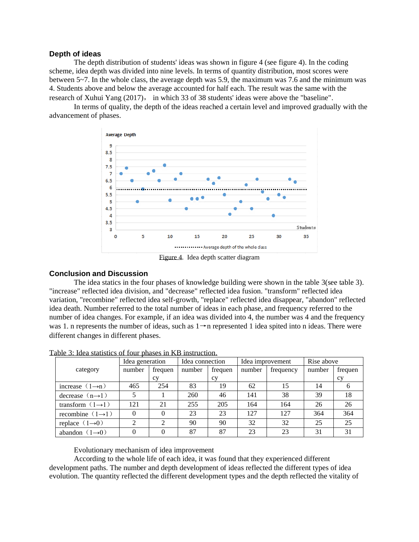### **Depth of ideas**

The depth distribution of students' ideas was shown in figure 4 (see figure 4). In the coding scheme, idea depth was divided into nine levels. In terms of quantity distribution, most scores were between 5~7. In the whole class, the average depth was 5.9, the maximum was 7.6 and the minimum was 4. Students above and below the average accounted for half each. The result was the same with the research of Xuhui Yang (2017), in which 33 of 38 students' ideas were above the "baseline".

In terms of quality, the depth of the ideas reached a certain level and improved gradually with the advancement of phases.



Figure 4. Idea depth scatter diagram

### **Conclusion and Discussion**

The idea statics in the four phases of knowledge building were shown in the table 3(see table 3). "increase" reflected idea division, and "decrease" reflected idea fusion. "transform" reflected idea variation, "recombine" reflected idea self-growth, "replace" reflected idea disappear, "abandon" reflected idea death. Number referred to the total number of ideas in each phase, and frequency referred to the number of idea changes. For example, if an idea was divided into 4, the number was 4 and the frequency was 1. n represents the number of ideas, such as  $1 \rightarrow n$  represented 1 idea spited into n ideas. There were different changes in different phases.

|                              | Idea generation |          | Idea connection |         | Idea improvement |           | Rise above |           |
|------------------------------|-----------------|----------|-----------------|---------|------------------|-----------|------------|-----------|
| category                     | number          | frequen  | number          | frequen | number           | frequency | number     | frequen   |
|                              |                 | cy       |                 | cy      |                  |           |            | <b>CV</b> |
| increase $(1\rightarrow n)$  | 465             | 254      | 83              | 19      | 62               | 15        | 14         |           |
| decrease $(n\rightarrow 1)$  |                 |          | 260             | 46      | 141              | 38        | 39         | 18        |
| transform $(1\rightarrow 1)$ | 121             | 21       | 255             | 205     | 164              | 164       | 26         | 26        |
| recombine $(1\rightarrow 1)$ | 0               | $\theta$ | 23              | 23      | 127              | 127       | 364        | 364       |
| replace $(1\rightarrow 0)$   | ◠               | າ        | 90              | 90      | 32               | 32        | 25         | 25        |
| abandon $(1\rightarrow 0)$   |                 | $\theta$ | 87              | 87      | 23               | 23        | 31         | 31        |

Table 3: Idea statistics of four phases in KB instruction.

Evolutionary mechanism of idea improvement

According to the whole life of each idea, it was found that they experienced different development paths. The number and depth development of ideas reflected the different types of idea evolution. The quantity reflected the different development types and the depth reflected the vitality of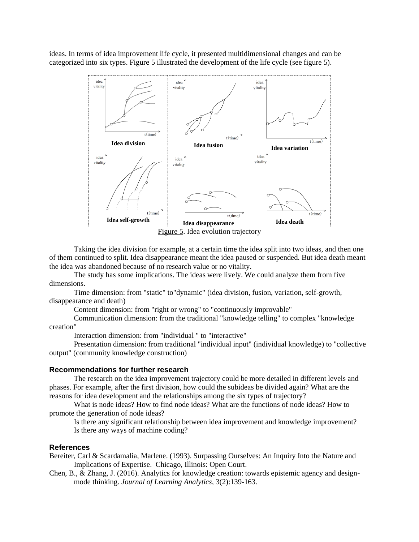ideas. In terms of idea improvement life cycle, it presented multidimensional changes and can be categorized into six types. Figure 5 illustrated the development of the life cycle (see figure 5).



Taking the idea division for example, at a certain time the idea split into two ideas, and then one of them continued to split. Idea disappearance meant the idea paused or suspended. But idea death meant the idea was abandoned because of no research value or no vitality.

The study has some implications. The ideas were lively. We could analyze them from five dimensions.

Time dimension: from "static" to"dynamic" (idea division, fusion, variation, self-growth, disappearance and death)

Content dimension: from "right or wrong" to "continuously improvable"

Communication dimension: from the traditional "knowledge telling" to complex "knowledge creation"

Interaction dimension: from "individual " to "interactive"

Presentation dimension: from traditional "individual input" (individual knowledge) to "collective output" (community knowledge construction)

### **Recommendations for further research**

The research on the idea improvement trajectory could be more detailed in different levels and phases. For example, after the first division, how could the subideas be divided again? What are the reasons for idea development and the relationships among the six types of trajectory?

What is node ideas? How to find node ideas? What are the functions of node ideas? How to promote the generation of node ideas?

Is there any significant relationship between idea improvement and knowledge improvement? Is there any ways of machine coding?

#### **References**

Bereiter, Carl & Scardamalia, Marlene. (1993). Surpassing Ourselves: An Inquiry Into the Nature and Implications of Expertise. Chicago, Illinois: Open Court.

Chen, B., & Zhang, J. (2016). Analytics for knowledge creation: towards epistemic agency and designmode thinking. *Journal of Learning Analytics*, 3(2):139-163.